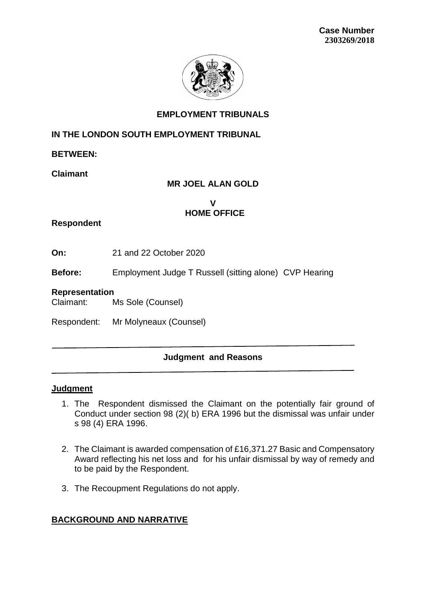

## **EMPLOYMENT TRIBUNALS**

## **IN THE LONDON SOUTH EMPLOYMENT TRIBUNAL**

**BETWEEN:**

**Claimant**

# **MR JOEL ALAN GOLD**

**V HOME OFFICE** 

## **Respondent**

**On:** 21 and 22 October 2020

**Before:** Employment Judge T Russell (sitting alone) CVP Hearing

#### **Representation**

Claimant: Ms Sole (Counsel)

Respondent: Mr Molyneaux (Counsel)

# **Judgment and Reasons**

### **Judgment**

- 1. The Respondent dismissed the Claimant on the potentially fair ground of Conduct under section 98 (2)( b) ERA 1996 but the dismissal was unfair under s 98 (4) ERA 1996.
- 2. The Claimant is awarded compensation of £16,371.27 Basic and Compensatory Award reflecting his net loss and for his unfair dismissal by way of remedy and to be paid by the Respondent.
- 3. The Recoupment Regulations do not apply.

# **BACKGROUND AND NARRATIVE**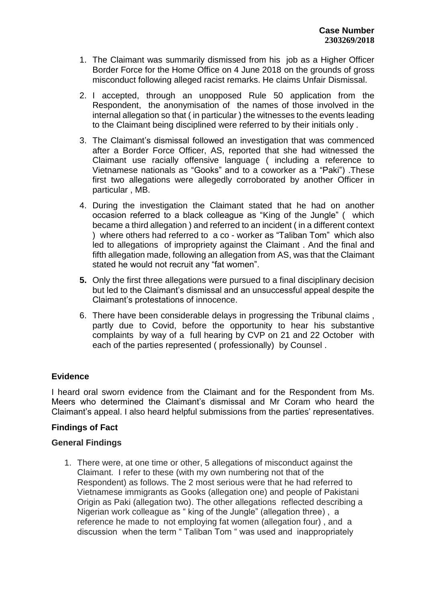- 1. The Claimant was summarily dismissed from his job as a Higher Officer Border Force for the Home Office on 4 June 2018 on the grounds of gross misconduct following alleged racist remarks. He claims Unfair Dismissal.
- 2. I accepted, through an unopposed Rule 50 application from the Respondent, the anonymisation of the names of those involved in the internal allegation so that ( in particular ) the witnesses to the events leading to the Claimant being disciplined were referred to by their initials only .
- 3. The Claimant's dismissal followed an investigation that was commenced after a Border Force Officer, AS, reported that she had witnessed the Claimant use racially offensive language ( including a reference to Vietnamese nationals as "Gooks" and to a coworker as a "Paki") .These first two allegations were allegedly corroborated by another Officer in particular , MB.
- 4. During the investigation the Claimant stated that he had on another occasion referred to a black colleague as "King of the Jungle" ( which became a third allegation ) and referred to an incident ( in a different context ) where others had referred to a co - worker as "Taliban Tom" which also led to allegations of impropriety against the Claimant . And the final and fifth allegation made, following an allegation from AS, was that the Claimant stated he would not recruit any "fat women".
- **5.** Only the first three allegations were pursued to a final disciplinary decision but led to the Claimant's dismissal and an unsuccessful appeal despite the Claimant's protestations of innocence.
- 6. There have been considerable delays in progressing the Tribunal claims , partly due to Covid, before the opportunity to hear his substantive complaints by way of a full hearing by CVP on 21 and 22 October with each of the parties represented ( professionally) by Counsel .

### **Evidence**

I heard oral sworn evidence from the Claimant and for the Respondent from Ms. Meers who determined the Claimant's dismissal and Mr Coram who heard the Claimant's appeal. I also heard helpful submissions from the parties' representatives.

### **Findings of Fact**

### **General Findings**

1. There were, at one time or other, 5 allegations of misconduct against the Claimant. I refer to these (with my own numbering not that of the Respondent) as follows. The 2 most serious were that he had referred to Vietnamese immigrants as Gooks (allegation one) and people of Pakistani Origin as Paki (allegation two). The other allegations reflected describing a Nigerian work colleague as " king of the Jungle" (allegation three) , a reference he made to not employing fat women (allegation four) , and a discussion when the term " Taliban Tom " was used and inappropriately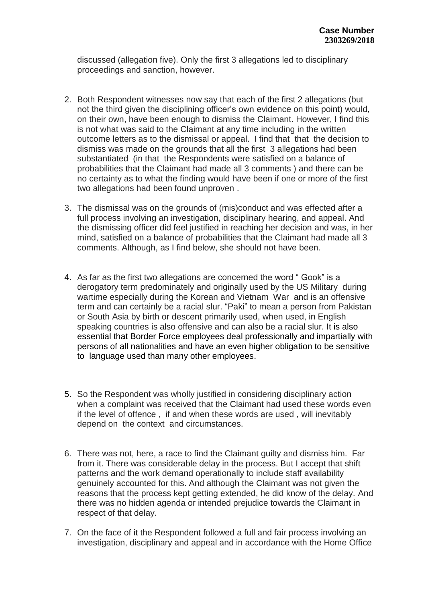discussed (allegation five). Only the first 3 allegations led to disciplinary proceedings and sanction, however.

- 2. Both Respondent witnesses now say that each of the first 2 allegations (but not the third given the disciplining officer's own evidence on this point) would, on their own, have been enough to dismiss the Claimant. However, I find this is not what was said to the Claimant at any time including in the written outcome letters as to the dismissal or appeal. I find that that the decision to dismiss was made on the grounds that all the first 3 allegations had been substantiated (in that the Respondents were satisfied on a balance of probabilities that the Claimant had made all 3 comments ) and there can be no certainty as to what the finding would have been if one or more of the first two allegations had been found unproven .
- 3. The dismissal was on the grounds of (mis)conduct and was effected after a full process involving an investigation, disciplinary hearing, and appeal. And the dismissing officer did feel justified in reaching her decision and was, in her mind, satisfied on a balance of probabilities that the Claimant had made all 3 comments. Although, as I find below, she should not have been.
- 4. As far as the first two allegations are concerned the word " Gook" is a derogatory term predominately and originally used by the US Military during wartime especially during the Korean and Vietnam War and is an offensive term and can certainly be a racial slur. "Paki" to mean a person from Pakistan or South Asia by birth or descent primarily used, when used, in English speaking countries is also offensive and can also be a racial slur. It is also essential that Border Force employees deal professionally and impartially with persons of all nationalities and have an even higher obligation to be sensitive to language used than many other employees.
- 5. So the Respondent was wholly justified in considering disciplinary action when a complaint was received that the Claimant had used these words even if the level of offence , if and when these words are used , will inevitably depend on the context and circumstances.
- 6. There was not, here, a race to find the Claimant guilty and dismiss him. Far from it. There was considerable delay in the process. But I accept that shift patterns and the work demand operationally to include staff availability genuinely accounted for this. And although the Claimant was not given the reasons that the process kept getting extended, he did know of the delay. And there was no hidden agenda or intended prejudice towards the Claimant in respect of that delay.
- 7. On the face of it the Respondent followed a full and fair process involving an investigation, disciplinary and appeal and in accordance with the Home Office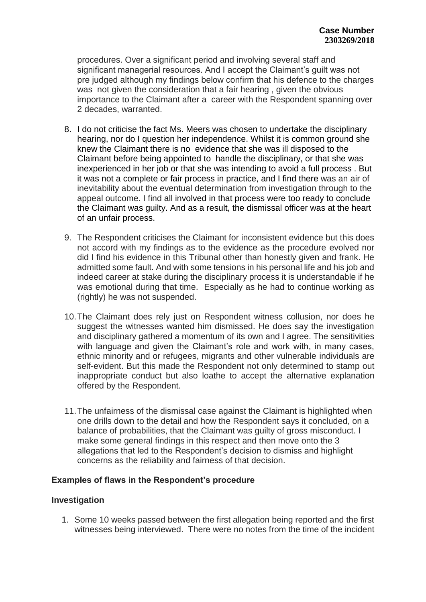procedures. Over a significant period and involving several staff and significant managerial resources. And I accept the Claimant's guilt was not pre judged although my findings below confirm that his defence to the charges was not given the consideration that a fair hearing , given the obvious importance to the Claimant after a career with the Respondent spanning over 2 decades, warranted.

- 8. I do not criticise the fact Ms. Meers was chosen to undertake the disciplinary hearing, nor do I question her independence. Whilst it is common ground she knew the Claimant there is no evidence that she was ill disposed to the Claimant before being appointed to handle the disciplinary, or that she was inexperienced in her job or that she was intending to avoid a full process . But it was not a complete or fair process in practice, and I find there was an air of inevitability about the eventual determination from investigation through to the appeal outcome. I find all involved in that process were too ready to conclude the Claimant was guilty. And as a result, the dismissal officer was at the heart of an unfair process.
- 9. The Respondent criticises the Claimant for inconsistent evidence but this does not accord with my findings as to the evidence as the procedure evolved nor did I find his evidence in this Tribunal other than honestly given and frank. He admitted some fault. And with some tensions in his personal life and his job and indeed career at stake during the disciplinary process it is understandable if he was emotional during that time. Especially as he had to continue working as (rightly) he was not suspended.
- 10.The Claimant does rely just on Respondent witness collusion, nor does he suggest the witnesses wanted him dismissed. He does say the investigation and disciplinary gathered a momentum of its own and I agree. The sensitivities with language and given the Claimant's role and work with, in many cases, ethnic minority and or refugees, migrants and other vulnerable individuals are self-evident. But this made the Respondent not only determined to stamp out inappropriate conduct but also loathe to accept the alternative explanation offered by the Respondent.
- 11.The unfairness of the dismissal case against the Claimant is highlighted when one drills down to the detail and how the Respondent says it concluded, on a balance of probabilities, that the Claimant was guilty of gross misconduct. I make some general findings in this respect and then move onto the 3 allegations that led to the Respondent's decision to dismiss and highlight concerns as the reliability and fairness of that decision.

### **Examples of flaws in the Respondent's procedure**

#### **Investigation**

1. Some 10 weeks passed between the first allegation being reported and the first witnesses being interviewed. There were no notes from the time of the incident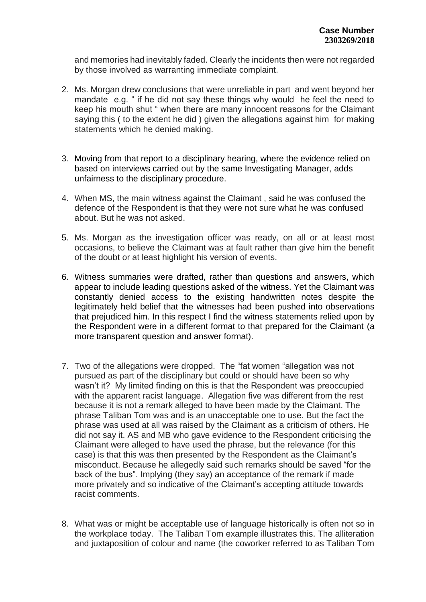and memories had inevitably faded. Clearly the incidents then were not regarded by those involved as warranting immediate complaint.

- 2. Ms. Morgan drew conclusions that were unreliable in part and went beyond her mandate e.g. " if he did not say these things why would he feel the need to keep his mouth shut " when there are many innocent reasons for the Claimant saying this ( to the extent he did ) given the allegations against him for making statements which he denied making.
- 3. Moving from that report to a disciplinary hearing, where the evidence relied on based on interviews carried out by the same Investigating Manager, adds unfairness to the disciplinary procedure.
- 4. When MS, the main witness against the Claimant , said he was confused the defence of the Respondent is that they were not sure what he was confused about. But he was not asked.
- 5. Ms. Morgan as the investigation officer was ready, on all or at least most occasions, to believe the Claimant was at fault rather than give him the benefit of the doubt or at least highlight his version of events.
- 6. Witness summaries were drafted, rather than questions and answers, which appear to include leading questions asked of the witness. Yet the Claimant was constantly denied access to the existing handwritten notes despite the legitimately held belief that the witnesses had been pushed into observations that prejudiced him. In this respect I find the witness statements relied upon by the Respondent were in a different format to that prepared for the Claimant (a more transparent question and answer format).
- 7. Two of the allegations were dropped. The "fat women "allegation was not pursued as part of the disciplinary but could or should have been so why wasn't it? My limited finding on this is that the Respondent was preoccupied with the apparent racist language. Allegation five was different from the rest because it is not a remark alleged to have been made by the Claimant. The phrase Taliban Tom was and is an unacceptable one to use. But the fact the phrase was used at all was raised by the Claimant as a criticism of others. He did not say it. AS and MB who gave evidence to the Respondent criticising the Claimant were alleged to have used the phrase, but the relevance (for this case) is that this was then presented by the Respondent as the Claimant's misconduct. Because he allegedly said such remarks should be saved "for the back of the bus". Implying (they say) an acceptance of the remark if made more privately and so indicative of the Claimant's accepting attitude towards racist comments.
- 8. What was or might be acceptable use of language historically is often not so in the workplace today. The Taliban Tom example illustrates this. The alliteration and juxtaposition of colour and name (the coworker referred to as Taliban Tom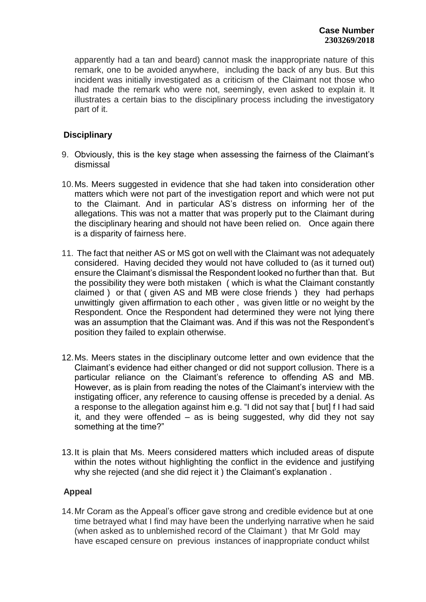apparently had a tan and beard) cannot mask the inappropriate nature of this remark, one to be avoided anywhere, including the back of any bus. But this incident was initially investigated as a criticism of the Claimant not those who had made the remark who were not, seemingly, even asked to explain it. It illustrates a certain bias to the disciplinary process including the investigatory part of it.

## **Disciplinary**

- 9. Obviously, this is the key stage when assessing the fairness of the Claimant's dismissal
- 10.Ms. Meers suggested in evidence that she had taken into consideration other matters which were not part of the investigation report and which were not put to the Claimant. And in particular AS's distress on informing her of the allegations. This was not a matter that was properly put to the Claimant during the disciplinary hearing and should not have been relied on. Once again there is a disparity of fairness here.
- 11. The fact that neither AS or MS got on well with the Claimant was not adequately considered. Having decided they would not have colluded to (as it turned out) ensure the Claimant's dismissal the Respondent looked no further than that. But the possibility they were both mistaken ( which is what the Claimant constantly claimed ) or that ( given AS and MB were close friends ) they had perhaps unwittingly given affirmation to each other , was given little or no weight by the Respondent. Once the Respondent had determined they were not lying there was an assumption that the Claimant was. And if this was not the Respondent's position they failed to explain otherwise.
- 12.Ms. Meers states in the disciplinary outcome letter and own evidence that the Claimant's evidence had either changed or did not support collusion. There is a particular reliance on the Claimant's reference to offending AS and MB. However, as is plain from reading the notes of the Claimant's interview with the instigating officer, any reference to causing offense is preceded by a denial. As a response to the allegation against him e.g. "I did not say that [ but] f I had said it, and they were offended  $-$  as is being suggested, why did they not say something at the time?"
- 13.It is plain that Ms. Meers considered matters which included areas of dispute within the notes without highlighting the conflict in the evidence and justifying why she rejected (and she did reject it ) the Claimant's explanation .

### **Appeal**

14.Mr Coram as the Appeal's officer gave strong and credible evidence but at one time betrayed what I find may have been the underlying narrative when he said (when asked as to unblemished record of the Claimant ) that Mr Gold may have escaped censure on previous instances of inappropriate conduct whilst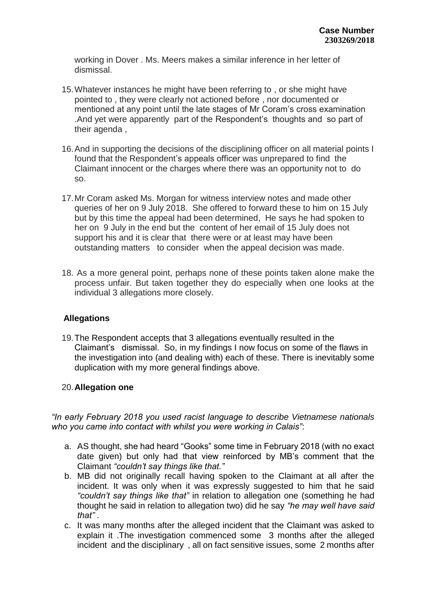working in Dover . Ms. Meers makes a similar inference in her letter of dismissal.

- 15.Whatever instances he might have been referring to , or she might have pointed to , they were clearly not actioned before , nor documented or mentioned at any point until the late stages of Mr Coram's cross examination .And yet were apparently part of the Respondent's thoughts and so part of their agenda ,
- 16.And in supporting the decisions of the disciplining officer on all material points I found that the Respondent's appeals officer was unprepared to find the Claimant innocent or the charges where there was an opportunity not to do so.
- 17.Mr Coram asked Ms. Morgan for witness interview notes and made other queries of her on 9 July 2018. She offered to forward these to him on 15 July but by this time the appeal had been determined, He says he had spoken to her on 9 July in the end but the content of her email of 15 July does not support his and it is clear that there were or at least may have been outstanding matters to consider when the appeal decision was made.
- 18. As a more general point, perhaps none of these points taken alone make the process unfair. But taken together they do especially when one looks at the individual 3 allegations more closely.

### **Allegations**

19.The Respondent accepts that 3 allegations eventually resulted in the Claimant's dismissal. So, in my findings I now focus on some of the flaws in the investigation into (and dealing with) each of these. There is inevitably some duplication with my more general findings above.

### 20.**Allegation one**

*"In early February 2018 you used racist language to describe Vietnamese nationals who you came into contact with whilst you were working in Calais"*:

- a. AS thought, she had heard "Gooks" some time in February 2018 (with no exact date given) but only had that view reinforced by MB's comment that the Claimant *"couldn't say things like that."*
- b. MB did not originally recall having spoken to the Claimant at all after the incident. It was only when it was expressly suggested to him that he said *"couldn't say things like that"* in relation to allegation one (something he had thought he said in relation to allegation two) did he say *"he may well have said that"* .
- c. It was many months after the alleged incident that the Claimant was asked to explain it .The investigation commenced some 3 months after the alleged incident and the disciplinary , all on fact sensitive issues, some 2 months after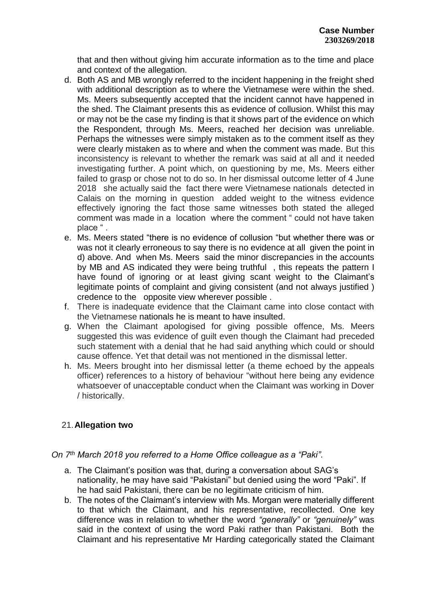that and then without giving him accurate information as to the time and place and context of the allegation.

- d. Both AS and MB wrongly referred to the incident happening in the freight shed with additional description as to where the Vietnamese were within the shed. Ms. Meers subsequently accepted that the incident cannot have happened in the shed. The Claimant presents this as evidence of collusion. Whilst this may or may not be the case my finding is that it shows part of the evidence on which the Respondent, through Ms. Meers, reached her decision was unreliable. Perhaps the witnesses were simply mistaken as to the comment itself as they were clearly mistaken as to where and when the comment was made. But this inconsistency is relevant to whether the remark was said at all and it needed investigating further. A point which, on questioning by me, Ms. Meers either failed to grasp or chose not to do so. In her dismissal outcome letter of 4 June 2018 she actually said the fact there were Vietnamese nationals detected in Calais on the morning in question added weight to the witness evidence effectively ignoring the fact those same witnesses both stated the alleged comment was made in a location where the comment " could not have taken place " .
- e. Ms. Meers stated "there is no evidence of collusion "but whether there was or was not it clearly erroneous to say there is no evidence at all given the point in d) above. And when Ms. Meers said the minor discrepancies in the accounts by MB and AS indicated they were being truthful , this repeats the pattern I have found of ignoring or at least giving scant weight to the Claimant's legitimate points of complaint and giving consistent (and not always justified ) credence to the opposite view wherever possible .
- f. There is inadequate evidence that the Claimant came into close contact with the Vietnamese nationals he is meant to have insulted.
- g. When the Claimant apologised for giving possible offence, Ms. Meers suggested this was evidence of guilt even though the Claimant had preceded such statement with a denial that he had said anything which could or should cause offence. Yet that detail was not mentioned in the dismissal letter.
- h. Ms. Meers brought into her dismissal letter (a theme echoed by the appeals officer) references to a history of behaviour "without here being any evidence whatsoever of unacceptable conduct when the Claimant was working in Dover / historically.

# 21.**Allegation two**

### *On 7th March 2018 you referred to a Home Office colleague as a "Paki"*.

- a. The Claimant's position was that, during a conversation about SAG's nationality, he may have said "Pakistani" but denied using the word "Paki". If he had said Pakistani, there can be no legitimate criticism of him.
- b. The notes of the Claimant's interview with Ms. Morgan were materially different to that which the Claimant, and his representative, recollected. One key difference was in relation to whether the word *"generally"* or *"genuinely"* was said in the context of using the word Paki rather than Pakistani. Both the Claimant and his representative Mr Harding categorically stated the Claimant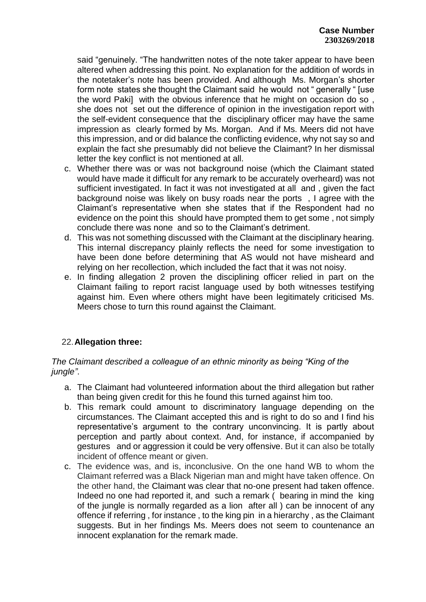said "genuinely. "The handwritten notes of the note taker appear to have been altered when addressing this point. No explanation for the addition of words in the notetaker's note has been provided. And although Ms. Morgan's shorter form note states she thought the Claimant said he would not " generally " [use the word Paki] with the obvious inference that he might on occasion do so , she does not set out the difference of opinion in the investigation report with the self-evident consequence that the disciplinary officer may have the same impression as clearly formed by Ms. Morgan. And if Ms. Meers did not have this impression, and or did balance the conflicting evidence, why not say so and explain the fact she presumably did not believe the Claimant? In her dismissal letter the key conflict is not mentioned at all.

- c. Whether there was or was not background noise (which the Claimant stated would have made it difficult for any remark to be accurately overheard) was not sufficient investigated. In fact it was not investigated at all and , given the fact background noise was likely on busy roads near the ports , I agree with the Claimant's representative when she states that if the Respondent had no evidence on the point this should have prompted them to get some , not simply conclude there was none and so to the Claimant's detriment.
- d. This was not something discussed with the Claimant at the disciplinary hearing. This internal discrepancy plainly reflects the need for some investigation to have been done before determining that AS would not have misheard and relying on her recollection, which included the fact that it was not noisy.
- e. In finding allegation 2 proven the disciplining officer relied in part on the Claimant failing to report racist language used by both witnesses testifying against him. Even where others might have been legitimately criticised Ms. Meers chose to turn this round against the Claimant.

# 22.**Allegation three:**

## *The Claimant described a colleague of an ethnic minority as being "King of the jungle"*.

- a. The Claimant had volunteered information about the third allegation but rather than being given credit for this he found this turned against him too.
- b. This remark could amount to discriminatory language depending on the circumstances. The Claimant accepted this and is right to do so and I find his representative's argument to the contrary unconvincing. It is partly about perception and partly about context. And, for instance, if accompanied by gestures and or aggression it could be very offensive. But it can also be totally incident of offence meant or given.
- c. The evidence was, and is, inconclusive. On the one hand WB to whom the Claimant referred was a Black Nigerian man and might have taken offence. On the other hand, the Claimant was clear that no-one present had taken offence. Indeed no one had reported it, and such a remark ( bearing in mind the king of the jungle is normally regarded as a lion after all ) can be innocent of any offence if referring , for instance , to the king pin in a hierarchy , as the Claimant suggests. But in her findings Ms. Meers does not seem to countenance an innocent explanation for the remark made.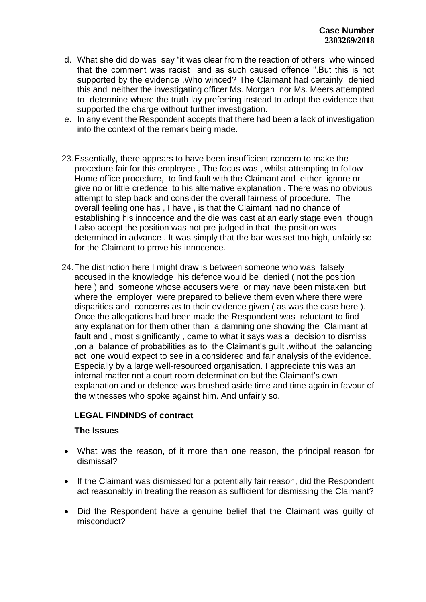- d. What she did do was say "it was clear from the reaction of others who winced that the comment was racist and as such caused offence ".But this is not supported by the evidence .Who winced? The Claimant had certainly denied this and neither the investigating officer Ms. Morgan nor Ms. Meers attempted to determine where the truth lay preferring instead to adopt the evidence that supported the charge without further investigation.
- e. In any event the Respondent accepts that there had been a lack of investigation into the context of the remark being made.
- 23.Essentially, there appears to have been insufficient concern to make the procedure fair for this employee , The focus was , whilst attempting to follow Home office procedure, to find fault with the Claimant and either ignore or give no or little credence to his alternative explanation . There was no obvious attempt to step back and consider the overall fairness of procedure. The overall feeling one has , I have , is that the Claimant had no chance of establishing his innocence and the die was cast at an early stage even though I also accept the position was not pre judged in that the position was determined in advance . It was simply that the bar was set too high, unfairly so, for the Claimant to prove his innocence.
- 24.The distinction here I might draw is between someone who was falsely accused in the knowledge his defence would be denied ( not the position here ) and someone whose accusers were or may have been mistaken but where the employer were prepared to believe them even where there were disparities and concerns as to their evidence given ( as was the case here ). Once the allegations had been made the Respondent was reluctant to find any explanation for them other than a damning one showing the Claimant at fault and , most significantly , came to what it says was a decision to dismiss ,on a balance of probabilities as to the Claimant's guilt ,without the balancing act one would expect to see in a considered and fair analysis of the evidence. Especially by a large well-resourced organisation. I appreciate this was an internal matter not a court room determination but the Claimant's own explanation and or defence was brushed aside time and time again in favour of the witnesses who spoke against him. And unfairly so.

# **LEGAL FINDINDS of contract**

### **The Issues**

- What was the reason, of it more than one reason, the principal reason for dismissal?
- If the Claimant was dismissed for a potentially fair reason, did the Respondent act reasonably in treating the reason as sufficient for dismissing the Claimant?
- Did the Respondent have a genuine belief that the Claimant was guilty of misconduct?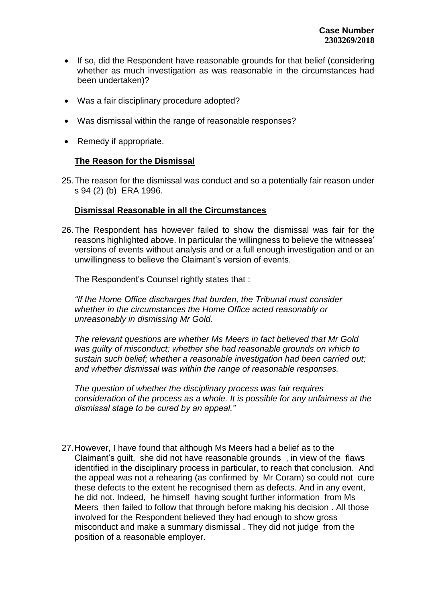- If so, did the Respondent have reasonable grounds for that belief (considering whether as much investigation as was reasonable in the circumstances had been undertaken)?
- Was a fair disciplinary procedure adopted?
- Was dismissal within the range of reasonable responses?
- Remedy if appropriate.

## **The Reason for the Dismissal**

25.The reason for the dismissal was conduct and so a potentially fair reason under s 94 (2) (b) ERA 1996.

### **Dismissal Reasonable in all the Circumstances**

26.The Respondent has however failed to show the dismissal was fair for the reasons highlighted above. In particular the willingness to believe the witnesses' versions of events without analysis and or a full enough investigation and or an unwillingness to believe the Claimant's version of events.

The Respondent's Counsel rightly states that :

*"If the Home Office discharges that burden, the Tribunal must consider whether in the circumstances the Home Office acted reasonably or unreasonably in dismissing Mr Gold.*

*The relevant questions are whether Ms Meers in fact believed that Mr Gold was guilty of misconduct; whether she had reasonable grounds on which to sustain such belief; whether a reasonable investigation had been carried out; and whether dismissal was within the range of reasonable responses.*

*The question of whether the disciplinary process was fair requires consideration of the process as a whole. It is possible for any unfairness at the dismissal stage to be cured by an appeal."*

27.However, I have found that although Ms Meers had a belief as to the Claimant's guilt, she did not have reasonable grounds , in view of the flaws identified in the disciplinary process in particular, to reach that conclusion. And the appeal was not a rehearing (as confirmed by Mr Coram) so could not cure these defects to the extent he recognised them as defects. And in any event, he did not. Indeed, he himself having sought further information from Ms Meers then failed to follow that through before making his decision . All those involved for the Respondent believed they had enough to show gross misconduct and make a summary dismissal . They did not judge from the position of a reasonable employer.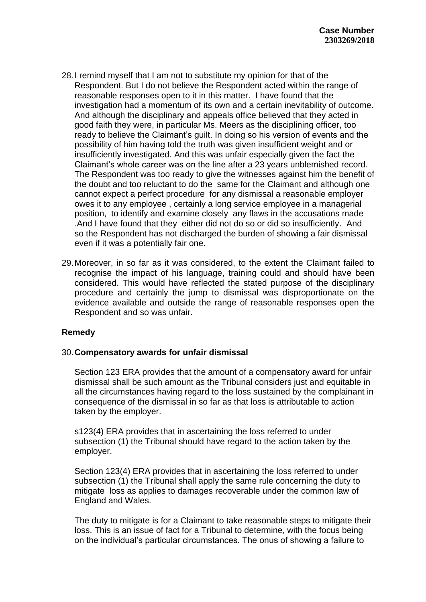- 28.I remind myself that I am not to substitute my opinion for that of the Respondent. But I do not believe the Respondent acted within the range of reasonable responses open to it in this matter. I have found that the investigation had a momentum of its own and a certain inevitability of outcome. And although the disciplinary and appeals office believed that they acted in good faith they were, in particular Ms. Meers as the disciplining officer, too ready to believe the Claimant's guilt. In doing so his version of events and the possibility of him having told the truth was given insufficient weight and or insufficiently investigated. And this was unfair especially given the fact the Claimant's whole career was on the line after a 23 years unblemished record. The Respondent was too ready to give the witnesses against him the benefit of the doubt and too reluctant to do the same for the Claimant and although one cannot expect a perfect procedure for any dismissal a reasonable employer owes it to any employee , certainly a long service employee in a managerial position, to identify and examine closely any flaws in the accusations made .And I have found that they either did not do so or did so insufficiently. And so the Respondent has not discharged the burden of showing a fair dismissal even if it was a potentially fair one.
- 29.Moreover, in so far as it was considered, to the extent the Claimant failed to recognise the impact of his language, training could and should have been considered. This would have reflected the stated purpose of the disciplinary procedure and certainly the jump to dismissal was disproportionate on the evidence available and outside the range of reasonable responses open the Respondent and so was unfair.

### **Remedy**

#### 30.**Compensatory awards for unfair dismissal**

Section 123 ERA provides that the amount of a compensatory award for unfair dismissal shall be such amount as the Tribunal considers just and equitable in all the circumstances having regard to the loss sustained by the complainant in consequence of the dismissal in so far as that loss is attributable to action taken by the employer.

s123(4) ERA provides that in ascertaining the loss referred to under subsection (1) the Tribunal should have regard to the action taken by the employer.

Section 123(4) ERA provides that in ascertaining the loss referred to under subsection (1) the Tribunal shall apply the same rule concerning the duty to mitigate loss as applies to damages recoverable under the common law of England and Wales.

The duty to mitigate is for a Claimant to take reasonable steps to mitigate their loss. This is an issue of fact for a Tribunal to determine, with the focus being on the individual's particular circumstances. The onus of showing a failure to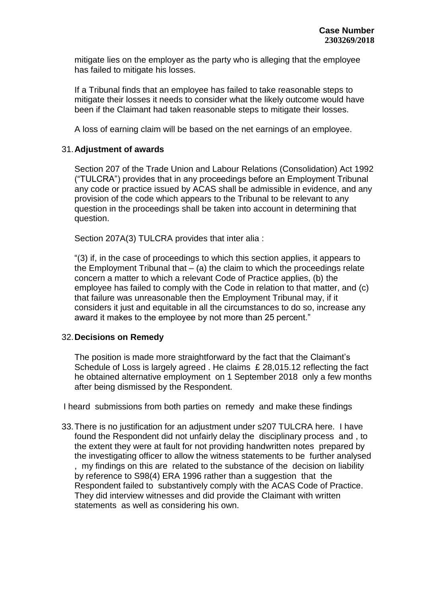mitigate lies on the employer as the party who is alleging that the employee has failed to mitigate his losses.

If a Tribunal finds that an employee has failed to take reasonable steps to mitigate their losses it needs to consider what the likely outcome would have been if the Claimant had taken reasonable steps to mitigate their losses.

A loss of earning claim will be based on the net earnings of an employee.

#### 31.**Adjustment of awards**

Section 207 of the Trade Union and Labour Relations (Consolidation) Act 1992 ("TULCRA") provides that in any proceedings before an Employment Tribunal any code or practice issued by ACAS shall be admissible in evidence, and any provision of the code which appears to the Tribunal to be relevant to any question in the proceedings shall be taken into account in determining that question.

Section 207A(3) TULCRA provides that inter alia :

"(3) if, in the case of proceedings to which this section applies, it appears to the Employment Tribunal that  $-$  (a) the claim to which the proceedings relate concern a matter to which a relevant Code of Practice applies, (b) the employee has failed to comply with the Code in relation to that matter, and (c) that failure was unreasonable then the Employment Tribunal may, if it considers it just and equitable in all the circumstances to do so, increase any award it makes to the employee by not more than 25 percent."

#### 32.**Decisions on Remedy**

The position is made more straightforward by the fact that the Claimant's Schedule of Loss is largely agreed . He claims £ 28,015.12 reflecting the fact he obtained alternative employment on 1 September 2018 only a few months after being dismissed by the Respondent.

I heard submissions from both parties on remedy and make these findings

33.There is no justification for an adjustment under s207 TULCRA here. I have found the Respondent did not unfairly delay the disciplinary process and , to the extent they were at fault for not providing handwritten notes prepared by the investigating officer to allow the witness statements to be further analysed my findings on this are related to the substance of the decision on liability by reference to S98(4) ERA 1996 rather than a suggestion that the Respondent failed to substantively comply with the ACAS Code of Practice. They did interview witnesses and did provide the Claimant with written statements as well as considering his own.